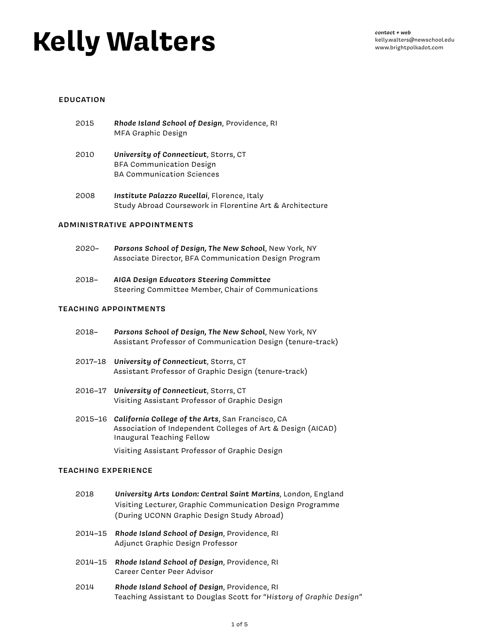# **Kelly Walters**

*contact + web* kelly.walters@newschool.edu www.brightpolkadot.com

#### **EDUCATION**

| 2015 | Rhode Island School of Design, Providence, RI |
|------|-----------------------------------------------|
|      | MFA Graphic Design                            |

- 2010 *University of Connecticut*, Storrs, CT BFA Communication Design BA Communication Sciences
- 2008 *Institute Palazzo Rucellai*, Florence, Italy Study Abroad Coursework in Florentine Art & Architecture

#### **ADMINISTRATIVE APPOINTMENTS**

- 2020– *Parsons School of Design, The New School*, New York, NY Associate Director, BFA Communication Design Program
- 2018– *AIGA Design Educators Steering Committee* Steering Committee Member, Chair of Communications

# **TEACHING APPOINTMENTS**

- 2018– *Parsons School of Design, The New School*, New York, NY Assistant Professor of Communication Design (tenure-track)
- 2017–18 *University of Connecticut*, Storrs, CT Assistant Professor of Graphic Design (tenure-track)
- 2016–17 *University of Connecticut*, Storrs, CT Visiting Assistant Professor of Graphic Design
- 2015–16 *California College of the Arts*, San Francisco, CA Association of Independent Colleges of Art & Design (AICAD) Inaugural Teaching Fellow

Visiting Assistant Professor of Graphic Design

#### **TEACHING EXPERIENCE**

- 2018 *University Arts London: Central Saint Martins*, London, England Visiting Lecturer, Graphic Communication Design Programme (During UCONN Graphic Design Study Abroad)
- 2014–15 *Rhode Island School of Design*, Providence, RI Adjunct Graphic Design Professor
- 2014–15 *Rhode Island School of Design*, Providence, RI Career Center Peer Advisor
- 2014 *Rhode Island School of Design*, Providence, RI Teaching Assistant to Douglas Scott for "*History of Graphic Design*"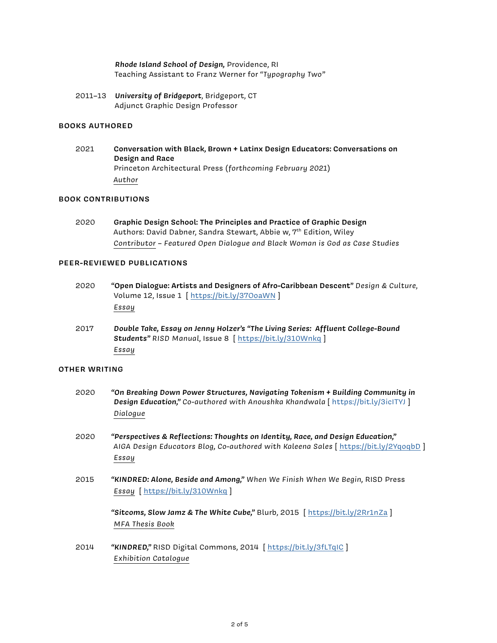# *Rhode Island School of Design,* Providence, RI Teaching Assistant to Franz Werner for "*Typography Two"*

2011–13 *University of Bridgeport*, Bridgeport, CT Adjunct Graphic Design Professor

# **BOOKS AUTHORED**

2021 **Conversation with Black, Brown + Latinx Design Educators: Conversations on Design and Race** Princeton Architectural Press (*forthcoming February 2021*) *Author*

#### **BOOK CONTRIBUTIONS**

2020 **Graphic Design School: The Principles and Practice of Graphic Design** Authors: David Dabner, Sandra Stewart, Abbie w, 7<sup>th</sup> Edition, Wiley *Contributor – Featured Open Dialogue and Black Woman is God as Case Studies*

#### **PEER-REVIEWED PUBLICATIONS**

- 2020 **"Open Dialogue: Artists and Designers of Afro-Caribbean Descent"** *Design & Culture*, Volume 12, Issue 1 [ https://bit.ly/37OoaWN ] *Essay*
- 2017 *Double Take, Essay on Jenny Holzer's "The Living Series: Affluent College-Bound Students" RISD Manual*, Issue 8 [ <https://bit.ly/310Wnkq> ] *Essay*

#### **OTHER WRITING**

- 2020 *"On Breaking Down Power Structures, Navigating Tokenism + Building Community in Design Education," Co-authored with Anoushka Khandwala* [ https://bit.ly/3icITYJ ] *Dialogue*
- 2020 *"Perspectives & Reflections: Thoughts on Identity, Race, and Design Education," AIGA Design Educators Blog, Co-authored with Kaleena Sales* [ https://bit.ly/2YqoqbD ] *Essay*
- 2015 *"KINDRED: Alone, Beside and Among," When We Finish When We Begin,* RISD Press *Essay* [<https://bit.ly/310Wnkq> ]

*"Sitcoms, Slow Jamz & The White Cube,"* Blurb, 2015 [ <https://bit.ly/2Rr1nZa>] *MFA Thesis Book*

2014 *"KINDRED,"* RISD Digital Commons, 2014 [ https://bit.ly/3fLTqIC ] *Exhibition Catalogue*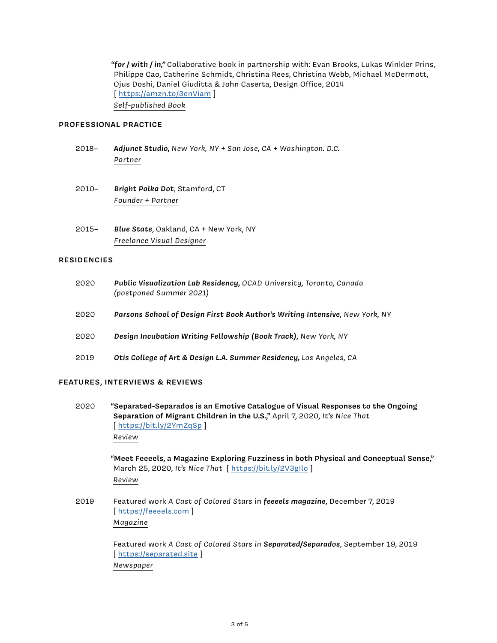*"for / with / in,"* Collaborative book in partnership with: Evan Brooks, Lukas Winkler Prins, Philippe Cao, Catherine Schmidt, Christina Rees, Christina Webb, Michael McDermott, Ojus Doshi, Daniel Giuditta & John Caserta, Design Office, 2014 [ https://amzn.to/3enViam ] *Self-published Book*

# **PROFESSIONAL PRACTICE**

- 2018– *Adjunct Studio, New York, NY + San Jose, CA + Washington. D.C. Partner*
- 2010– *Bright Polka Dot*, Stamford, CT *Founder + Partner*
- 2015– *Blue State*, Oakland, CA + New York, NY *Freelance Visual Designer*

#### **RESIDENCIES**

| 2020 | Public Visualization Lab Residency, OCAD University, Toronto, Canada<br>(postponed Summer 2021) |
|------|-------------------------------------------------------------------------------------------------|
| 2020 | Parsons School of Design First Book Author's Writing Intensive, New York, NY                    |
| 2020 | Design Incubation Writing Fellowship (Book Track), New York, NY                                 |
| 2019 | Otis College of Art & Design L.A. Summer Residency, Los Angeles, CA                             |

#### **FEATURES, INTERVIEWS & REVIEWS**

2020 **"Separated-Separados is an Emotive Catalogue of Visual Responses to the Ongoing Separation of Migrant Children in the U.S.,"** April 7, 2020, *It's Nice That*  [<https://bit.ly/2YmZqSp>] *Review*

> **"Meet Feeeels, a Magazine Exploring Fuzziness in both Physical and Conceptual Sense,"** March 25, 2020, *It's Nice That* [ <https://bit.ly/2V3gIlo>] *Review*

2019 Featured work *A Cast of Colored Stars* in *feeeels magazine*, December 7, 2019 [https://feeeels.com] *Magazine*

> Featured work *A Cast of Colored Stars in Separated/Separados*, September 19, 2019 [https://separated.site] *Newspaper*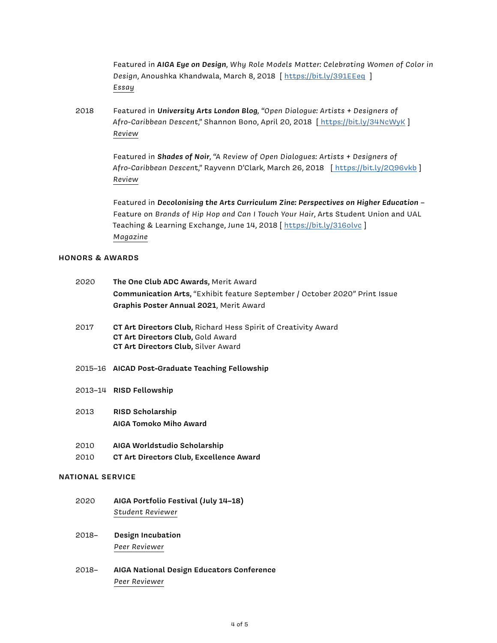Featured in *AIGA Eye on Design*, *Why Role Models Matter: Celebrating Women of Color in Design*, Anoushka Khandwala, March 8, 2018 [<https://bit.ly/391EEeq> ] *Essay*

2018 Featured in *University Arts London Blog, "Open Dialogue: Artists + Designers of Afro-Caribbean Descent*," Shannon Bono, April 20, 2018 [ [https://bit.ly/34NcWyK]( https://bit.ly/34NcWyK) ] *Review*

> Featured in *Shades of Noir*, *"A Review of Open Dialogues: Artists + Designers of Afro-Caribbean Descen*t," Rayvenn D'Clark, March 26, 2018 [\[ https://bit.ly/2Q96vkb]( https://bit.ly/2Q96vkb) ] *Review*

> Featured in *Decolonising the Arts Curriculum Zine: Perspectives on Higher Education* – Feature on *Brands of Hip Hop and Can I Touch Your Hair*, Arts Student Union and UAL Teaching & Learning Exchange, June 14, 2018 [https://bit.ly/316olvc] *Magazine*

# **HONORS & AWARDS**

|                         | 2020 | The One Club ADC Awards, Merit Award                                       |
|-------------------------|------|----------------------------------------------------------------------------|
|                         |      | Communication Arts, "Exhibit feature September / October 2020" Print Issue |
|                         |      | Graphis Poster Annual 2021, Merit Award                                    |
|                         | 2017 | CT Art Directors Club, Richard Hess Spirit of Creativity Award             |
|                         |      | CT Art Directors Club, Gold Award                                          |
|                         |      | CT Art Directors Club, Silver Award                                        |
|                         |      | 2015-16 AICAD Post-Graduate Teaching Fellowship                            |
|                         |      | 2013-14 RISD Fellowship                                                    |
|                         |      |                                                                            |
|                         | 2013 | RISD Scholarship                                                           |
|                         |      | AIGA Tomoko Miho Award                                                     |
|                         | 2010 | AIGA Worldstudio Scholarship                                               |
|                         | 2010 | CT Art Directors Club, Excellence Award                                    |
| <b>NATIONAL SERVICE</b> |      |                                                                            |
|                         | 2020 | AIGA Portfolio Festival (July 14-18)                                       |
|                         |      | Student Reviewer                                                           |
|                         |      |                                                                            |

- 2018– **Design Incubation** *Peer Reviewer*
- 2018– **AIGA National Design Educators Conference** *Peer Reviewer*